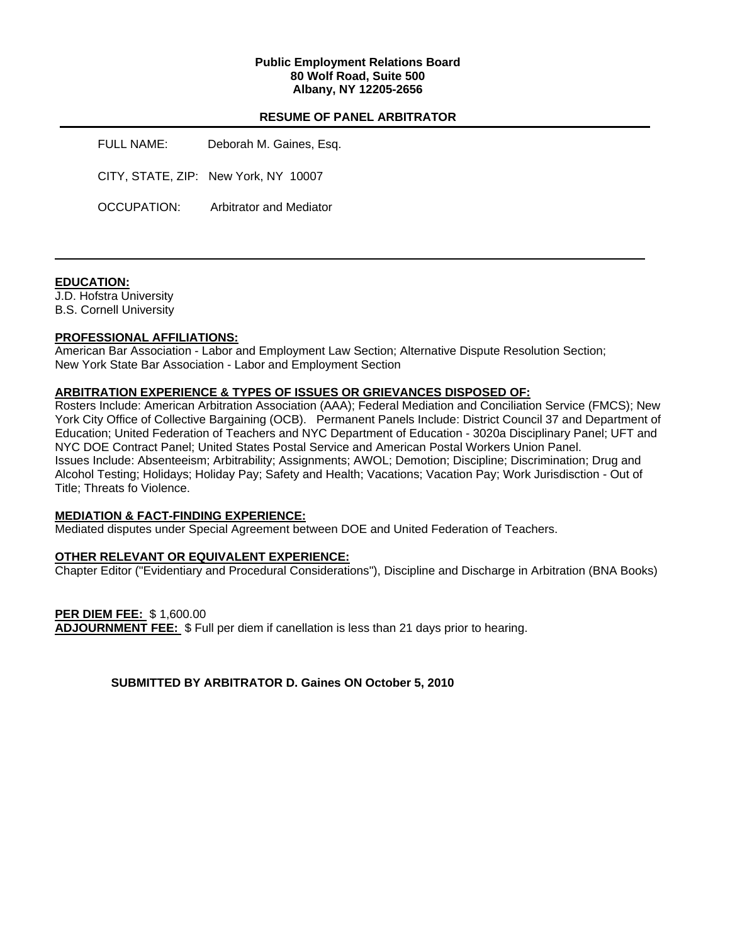## **Public Employment Relations Board 80 Wolf Road, Suite 500 Albany, NY 12205-2656**

## **RESUME OF PANEL ARBITRATOR**

FULL NAME: Deborah M. Gaines, Esq. CITY, STATE, ZIP: New York, NY 10007 OCCUPATION: Arbitrator and Mediator

## **EDUCATION:**

J.D. Hofstra University B.S. Cornell University

## **PROFESSIONAL AFFILIATIONS:**

American Bar Association - Labor and Employment Law Section; Alternative Dispute Resolution Section; New York State Bar Association - Labor and Employment Section

#### **ARBITRATION EXPERIENCE & TYPES OF ISSUES OR GRIEVANCES DISPOSED OF:**

Rosters Include: American Arbitration Association (AAA); Federal Mediation and Conciliation Service (FMCS); New York City Office of Collective Bargaining (OCB). Permanent Panels Include: District Council 37 and Department of Education; United Federation of Teachers and NYC Department of Education - 3020a Disciplinary Panel; UFT and NYC DOE Contract Panel; United States Postal Service and American Postal Workers Union Panel. Issues Include: Absenteeism; Arbitrability; Assignments; AWOL; Demotion; Discipline; Discrimination; Drug and Alcohol Testing; Holidays; Holiday Pay; Safety and Health; Vacations; Vacation Pay; Work Jurisdisction - Out of Title; Threats fo Violence.

## **MEDIATION & FACT-FINDING EXPERIENCE:**

Mediated disputes under Special Agreement between DOE and United Federation of Teachers.

## **OTHER RELEVANT OR EQUIVALENT EXPERIENCE:**

Chapter Editor ("Evidentiary and Procedural Considerations"), Discipline and Discharge in Arbitration (BNA Books)

**PER DIEM FEE:** \$ 1,600.00 **ADJOURNMENT FEE:** \$ Full per diem if canellation is less than 21 days prior to hearing.

**SUBMITTED BY ARBITRATOR D. Gaines ON October 5, 2010**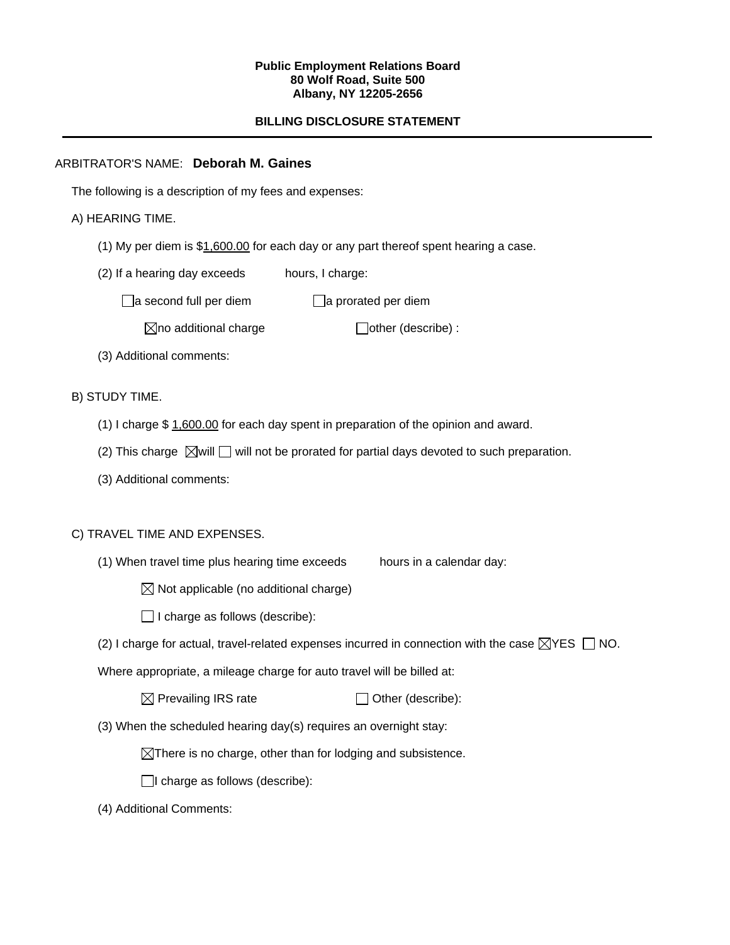#### **Public Employment Relations Board 80 Wolf Road, Suite 500 Albany, NY 12205-2656**

# **BILLING DISCLOSURE STATEMENT**

## ARBITRATOR'S NAME: **Deborah M. Gaines**

The following is a description of my fees and expenses:

## A) HEARING TIME.

- (1) My per diem is \$1,600.00 for each day or any part thereof spent hearing a case.
- (2) If a hearing day exceeds hours, I charge:

 $\Box$ a second full per diem  $\Box$ a prorated per diem

 $\boxtimes$ no additional charge  $\Box$ other (describe) :

(3) Additional comments:

B) STUDY TIME.

- (1) I charge \$ 1,600.00 for each day spent in preparation of the opinion and award.
- (2) This charge  $\boxtimes$  will  $\Box$  will not be prorated for partial days devoted to such preparation.
- (3) Additional comments:

## C) TRAVEL TIME AND EXPENSES.

(1) When travel time plus hearing time exceeds hours in a calendar day:

 $\boxtimes$  Not applicable (no additional charge)

 $\Box$  I charge as follows (describe):

(2) I charge for actual, travel-related expenses incurred in connection with the case  $\boxtimes$ YES  $\Box$  NO.

Where appropriate, a mileage charge for auto travel will be billed at:

| $\boxtimes$ Prevailing IRS rate | $\Box$ Other (describe): |
|---------------------------------|--------------------------|
|---------------------------------|--------------------------|

(3) When the scheduled hearing day(s) requires an overnight stay:

 $\boxtimes$ There is no charge, other than for lodging and subsistence.

 $\Box$ I charge as follows (describe):

(4) Additional Comments: